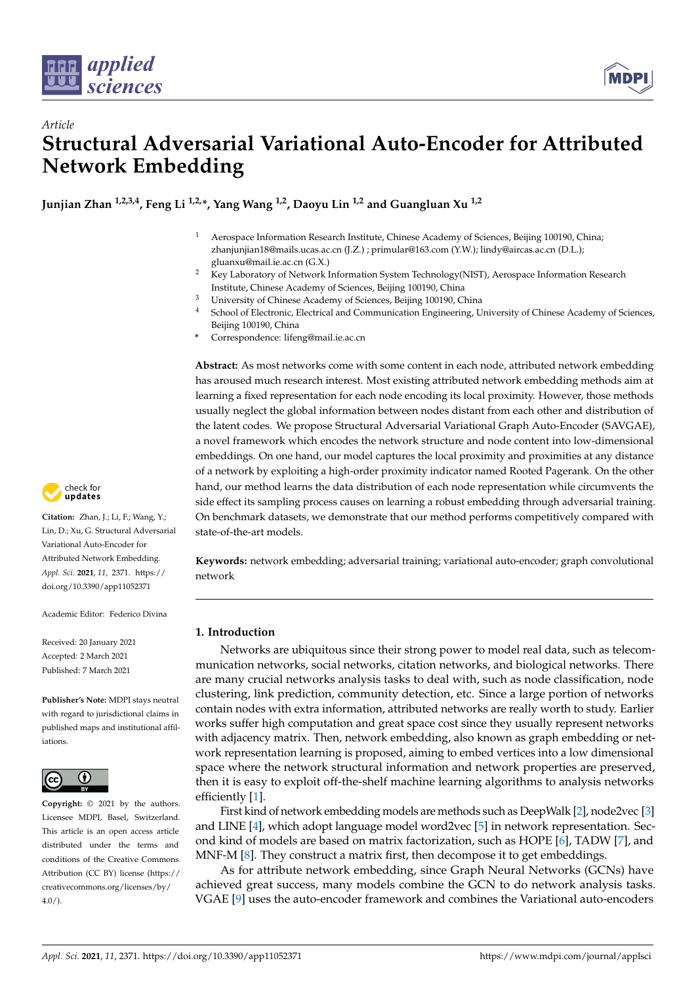



**Junjian Zhan 1,2,3,4, Feng Li 1,2,\*, Yang Wang 1,2, Daoyu Lin 1,2 and Guangluan Xu 1,2**

- <sup>1</sup> Aerospace Information Research Institute, Chinese Academy of Sciences, Beijing 100190, China; zhanjunjian18@mails.ucas.ac.cn (J.Z.) ; primular@163.com (Y.W.); lindy@aircas.ac.cn (D.L.); gluanxu@mail.ie.ac.cn (G.X.)
- <sup>2</sup> Key Laboratory of Network Information System Technology(NIST), Aerospace Information Research Institute, Chinese Academy of Sciences, Beijing 100190, China
- <sup>3</sup> University of Chinese Academy of Sciences, Beijing 100190, China
- <sup>4</sup> School of Electronic, Electrical and Communication Engineering, University of Chinese Academy of Sciences, Beijing 100190, China
- **\*** Correspondence: lifeng@mail.ie.ac.cn

**Abstract:** As most networks come with some content in each node, attributed network embedding has aroused much research interest. Most existing attributed network embedding methods aim at learning a fixed representation for each node encoding its local proximity. However, those methods usually neglect the global information between nodes distant from each other and distribution of the latent codes. We propose Structural Adversarial Variational Graph Auto-Encoder (SAVGAE), a novel framework which encodes the network structure and node content into low-dimensional embeddings. On one hand, our model captures the local proximity and proximities at any distance of a network by exploiting a high-order proximity indicator named Rooted Pagerank. On the other hand, our method learns the data distribution of each node representation while circumvents the side effect its sampling process causes on learning a robust embedding through adversarial training. On benchmark datasets, we demonstrate that our method performs competitively compared with state-of-the-art models.

**Keywords:** network embedding; adversarial training; variational auto-encoder; graph convolutional network

# **1. Introduction**

Networks are ubiquitous since their strong power to model real data, such as telecommunication networks, social networks, citation networks, and biological networks. There are many crucial networks analysis tasks to deal with, such as node classification, node clustering, link prediction, community detection, etc. Since a large portion of networks contain nodes with extra information, attributed networks are really worth to study. Earlier works suffer high computation and great space cost since they usually represent networks with adjacency matrix. Then, network embedding, also known as graph embedding or network representation learning is proposed, aiming to embed vertices into a low dimensional space where the network structural information and network properties are preserved, then it is easy to exploit off-the-shelf machine learning algorithms to analysis networks efficiently [\[1\]](#page-9-0).

First kind of network embedding models are methods such as DeepWalk [\[2\]](#page-9-1), node2vec [\[3\]](#page-9-2) and LINE [\[4\]](#page-9-3), which adopt language model word2vec [\[5\]](#page-9-4) in network representation. Second kind of models are based on matrix factorization, such as HOPE [\[6\]](#page-9-5), TADW [\[7\]](#page-9-6), and MNF-M [\[8\]](#page-9-7). They construct a matrix first, then decompose it to get embeddings.

As for attribute network embedding, since Graph Neural Networks (GCNs) have achieved great success, many models combine the GCN to do network analysis tasks. VGAE [\[9\]](#page-9-8) uses the auto-encoder framework and combines the Variational auto-encoders



**Citation:** Zhan, J.; Li, F.; Wang, Y.; Lin, D.; Xu, G. Structural Adversarial Variational Auto-Encoder for Attributed Network Embedding. *Appl. Sci.* **2021**, *11*, 2371. [https://](https://doi.org/10.3390/app11052371) [doi.org/10.3390/app11052371](https://doi.org/10.3390/app11052371)

Academic Editor: Federico Divina

Received: 20 January 2021 Accepted: 2 March 2021 Published: 7 March 2021

**Publisher's Note:** MDPI stays neutral with regard to jurisdictional claims in published maps and institutional affiliations.



**Copyright:** © 2021 by the authors. Licensee MDPI, Basel, Switzerland. This article is an open access article distributed under the terms and conditions of the Creative Commons Attribution (CC BY) license (https:/[/](https://creativecommons.org/licenses/by/4.0/) [creativecommons.org/licenses/by/](https://creativecommons.org/licenses/by/4.0/)  $4.0/$ ).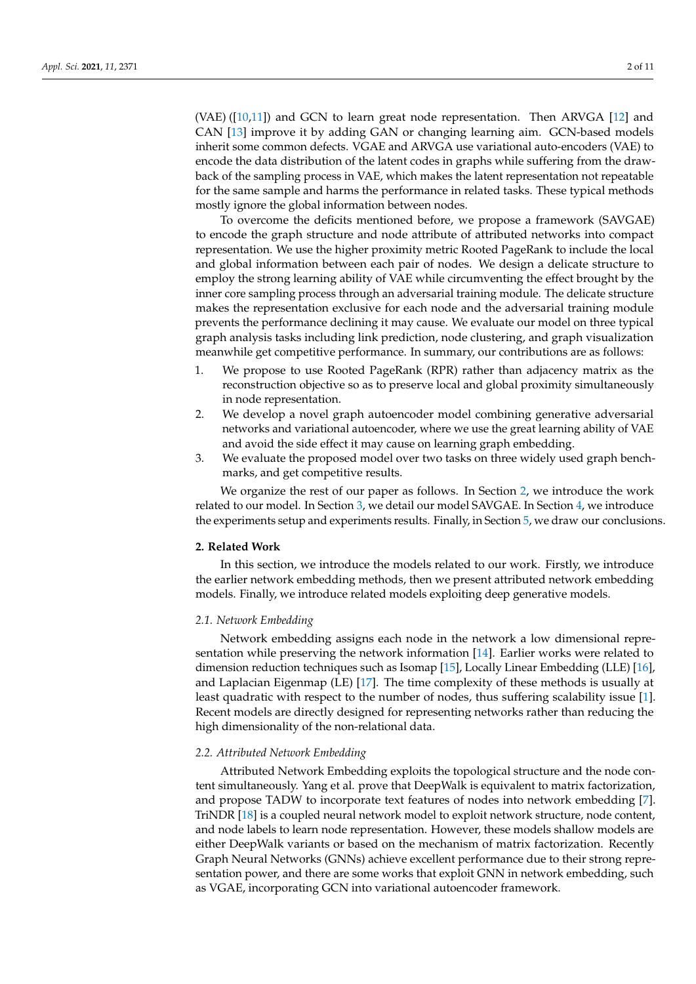(VAE)  $(10,11)$  and GCN to learn great node representation. Then ARVGA  $[12]$  and CAN [\[13\]](#page-10-1) improve it by adding GAN or changing learning aim. GCN-based models inherit some common defects. VGAE and ARVGA use variational auto-encoders (VAE) to encode the data distribution of the latent codes in graphs while suffering from the drawback of the sampling process in VAE, which makes the latent representation not repeatable for the same sample and harms the performance in related tasks. These typical methods mostly ignore the global information between nodes.

To overcome the deficits mentioned before, we propose a framework (SAVGAE) to encode the graph structure and node attribute of attributed networks into compact representation. We use the higher proximity metric Rooted PageRank to include the local and global information between each pair of nodes. We design a delicate structure to employ the strong learning ability of VAE while circumventing the effect brought by the inner core sampling process through an adversarial training module. The delicate structure makes the representation exclusive for each node and the adversarial training module prevents the performance declining it may cause. We evaluate our model on three typical graph analysis tasks including link prediction, node clustering, and graph visualization meanwhile get competitive performance. In summary, our contributions are as follows:

- 1. We propose to use Rooted PageRank (RPR) rather than adjacency matrix as the reconstruction objective so as to preserve local and global proximity simultaneously in node representation.
- 2. We develop a novel graph autoencoder model combining generative adversarial networks and variational autoencoder, where we use the great learning ability of VAE and avoid the side effect it may cause on learning graph embedding.
- 3. We evaluate the proposed model over two tasks on three widely used graph benchmarks, and get competitive results.

We organize the rest of our paper as follows. In Section [2,](#page-1-0) we introduce the work related to our model. In Section [3,](#page-2-0) we detail our model SAVGAE. In Section [4,](#page-5-0) we introduce the experiments setup and experiments results. Finally, in Section [5,](#page-8-0) we draw our conclusions.

## <span id="page-1-0"></span>**2. Related Work**

In this section, we introduce the models related to our work. Firstly, we introduce the earlier network embedding methods, then we present attributed network embedding models. Finally, we introduce related models exploiting deep generative models.

# *2.1. Network Embedding*

Network embedding assigns each node in the network a low dimensional representation while preserving the network information [\[14\]](#page-10-2). Earlier works were related to dimension reduction techniques such as Isomap [\[15\]](#page-10-3), Locally Linear Embedding (LLE) [\[16\]](#page-10-4), and Laplacian Eigenmap (LE) [\[17\]](#page-10-5). The time complexity of these methods is usually at least quadratic with respect to the number of nodes, thus suffering scalability issue [\[1\]](#page-9-0). Recent models are directly designed for representing networks rather than reducing the high dimensionality of the non-relational data.

#### *2.2. Attributed Network Embedding*

Attributed Network Embedding exploits the topological structure and the node content simultaneously. Yang et al. prove that DeepWalk is equivalent to matrix factorization, and propose TADW to incorporate text features of nodes into network embedding [\[7\]](#page-9-6). TriNDR [\[18\]](#page-10-6) is a coupled neural network model to exploit network structure, node content, and node labels to learn node representation. However, these models shallow models are either DeepWalk variants or based on the mechanism of matrix factorization. Recently Graph Neural Networks (GNNs) achieve excellent performance due to their strong representation power, and there are some works that exploit GNN in network embedding, such as VGAE, incorporating GCN into variational autoencoder framework.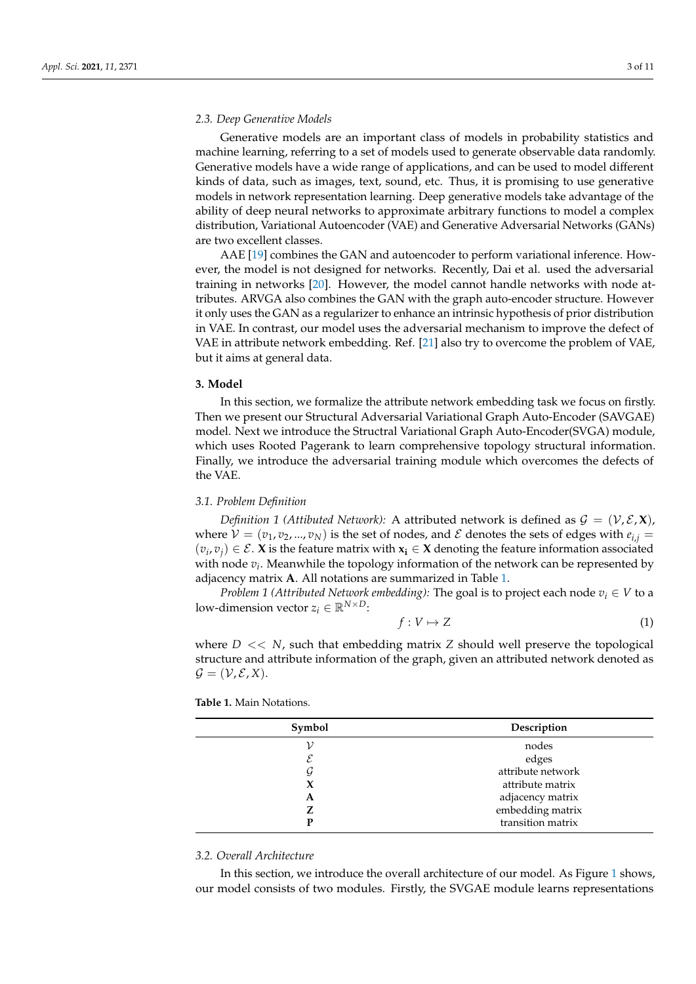# *2.3. Deep Generative Models*

Generative models are an important class of models in probability statistics and machine learning, referring to a set of models used to generate observable data randomly. Generative models have a wide range of applications, and can be used to model different kinds of data, such as images, text, sound, etc. Thus, it is promising to use generative models in network representation learning. Deep generative models take advantage of the ability of deep neural networks to approximate arbitrary functions to model a complex distribution, Variational Autoencoder (VAE) and Generative Adversarial Networks (GANs) are two excellent classes.

AAE [\[19\]](#page-10-7) combines the GAN and autoencoder to perform variational inference. However, the model is not designed for networks. Recently, Dai et al. used the adversarial training in networks [\[20\]](#page-10-8). However, the model cannot handle networks with node attributes. ARVGA also combines the GAN with the graph auto-encoder structure. However it only uses the GAN as a regularizer to enhance an intrinsic hypothesis of prior distribution in VAE. In contrast, our model uses the adversarial mechanism to improve the defect of VAE in attribute network embedding. Ref. [\[21\]](#page-10-9) also try to overcome the problem of VAE, but it aims at general data.

#### <span id="page-2-0"></span>**3. Model**

In this section, we formalize the attribute network embedding task we focus on firstly. Then we present our Structural Adversarial Variational Graph Auto-Encoder (SAVGAE) model. Next we introduce the Structral Variational Graph Auto-Encoder(SVGA) module, which uses Rooted Pagerank to learn comprehensive topology structural information. Finally, we introduce the adversarial training module which overcomes the defects of the VAE.

#### *3.1. Problem Definition*

*Definition 1 (Attibuted Network):* A attributed network is defined as  $\mathcal{G} = (\mathcal{V}, \mathcal{E}, \mathbf{X})$ , where  $V = (v_1, v_2, ..., v_N)$  is the set of nodes, and  $\mathcal E$  denotes the sets of edges with  $e_{i,j}$  $(v_i, v_j) \in \mathcal{E}$ . **X** is the feature matrix with  $x_i \in X$  denoting the feature information associated with node *v<sup>i</sup>* . Meanwhile the topology information of the network can be represented by adjacency matrix **A**. All notations are summarized in Table [1.](#page-2-1)

*Problem 1 (Attributed Network embedding):* The goal is to project each node  $v_i \in V$  to a low-dimension vector  $z_i \in \mathbb{R}^{N \times D}$ :

$$
f: V \mapsto Z \tag{1}
$$

where  $D \ll N$ , such that embedding matrix  $Z$  should well preserve the topological structure and attribute information of the graph, given an attributed network denoted as  $\mathcal{G} = (\mathcal{V}, \mathcal{E}, X).$ 

<span id="page-2-1"></span>

| Symbol<br>Description |                   |  |
|-----------------------|-------------------|--|
| nodes                 |                   |  |
| $\mathcal E$          | edges             |  |
| G                     | attribute network |  |
| X                     | attribute matrix  |  |
| A                     | adjacency matrix  |  |
| Z                     | embedding matrix  |  |
| D                     | transition matrix |  |

#### *3.2. Overall Architecture*

In this section, we introduce the overall architecture of our model. As Figure [1](#page-3-0) shows, our model consists of two modules. Firstly, the SVGAE module learns representations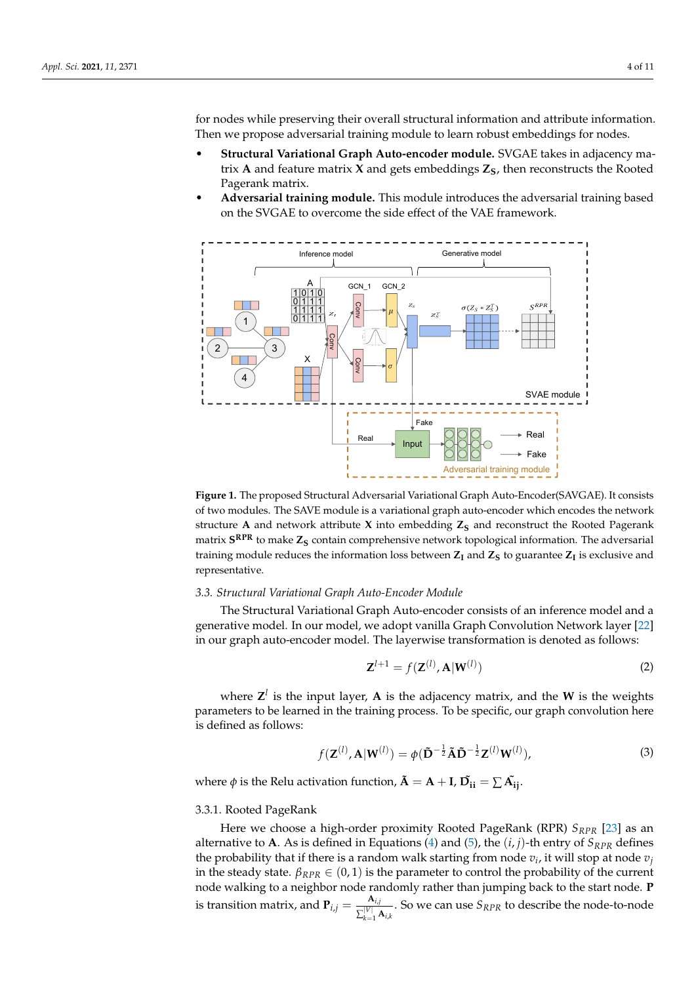for nodes while preserving their overall structural information and attribute information. Then we propose adversarial training module to learn robust embeddings for nodes.

- **Structural Variational Graph Auto-encoder module.** SVGAE takes in adjacency matrix **A** and feature matrix **X** and gets embeddings  $Z_S$ , then reconstructs the Rooted Pagerank matrix.
- **Adversarial training module.** This module introduces the adversarial training based on the SVGAE to overcome the side effect of the VAE framework.

<span id="page-3-0"></span>

**Figure 1.** The proposed Structural Adversarial Variational Graph Auto-Encoder(SAVGAE). It consists of two modules. The SAVE module is a variational graph auto-encoder which encodes the network structure **A** and network attribute **X** into embedding  $Z<sub>S</sub>$  and reconstruct the Rooted Pagerank matrix **S RPR** to make **Z<sup>S</sup>** contain comprehensive network topological information. The adversarial training module reduces the information loss between  $Z_I$  and  $Z_S$  to guarantee  $Z_I$  is exclusive and representative.

# *3.3. Structural Variational Graph Auto-Encoder Module*

The Structural Variational Graph Auto-encoder consists of an inference model and a generative model. In our model, we adopt vanilla Graph Convolution Network layer [\[22\]](#page-10-10) in our graph auto-encoder model. The layerwise transformation is denoted as follows:

$$
\mathbf{Z}^{l+1} = f(\mathbf{Z}^{(l)}, \mathbf{A}|\mathbf{W}^{(l)})
$$
\n(2)

where  $\mathbf{Z}^l$  is the input layer,  $\mathbf{A}$  is the adjacency matrix, and the **W** is the weights parameters to be learned in the training process. To be specific, our graph convolution here is defined as follows:

$$
f(\mathbf{Z}^{(l)}, \mathbf{A}|\mathbf{W}^{(l)}) = \phi(\mathbf{\tilde{D}}^{-\frac{1}{2}}\mathbf{\tilde{A}}\mathbf{\tilde{D}}^{-\frac{1}{2}}\mathbf{Z}^{(l)}\mathbf{W}^{(l)}),
$$
\n(3)

where  $\phi$  is the Relu activation function,  $\tilde{\bf A}={\bf A}+{\bf I}$ ,  $\tilde{\bf D_{\bf ii}}=\sum{\tilde{\bf A_{\bf ij}}}$ .

# 3.3.1. Rooted PageRank

Here we choose a high-order proximity Rooted PageRank (RPR) *SRPR* [\[23\]](#page-10-11) as an alternative to **A**. As is defined in Equations [\(4\)](#page-4-0) and [\(5\)](#page-4-1), the  $(i, j)$ -th entry of  $S_{RPR}$  defines the probability that if there is a random walk starting from node  $v_i$ , it will stop at node  $v_j$ in the steady state.  $β_{RPR} ∈ (0,1)$  is the parameter to control the probability of the current node walking to a neighbor node randomly rather than jumping back to the start node. **P** is transition matrix, and  ${\bf P}_{i,j} = \frac{{\bf A}_{i,j}}{|\nabla u|}$  $\frac{V_{\lambda,j}}{\sum_{k=1}^{|V|} \mathbf{A}_{i,k}}$ . So we can use  $S_{RPR}$  to describe the node-to-node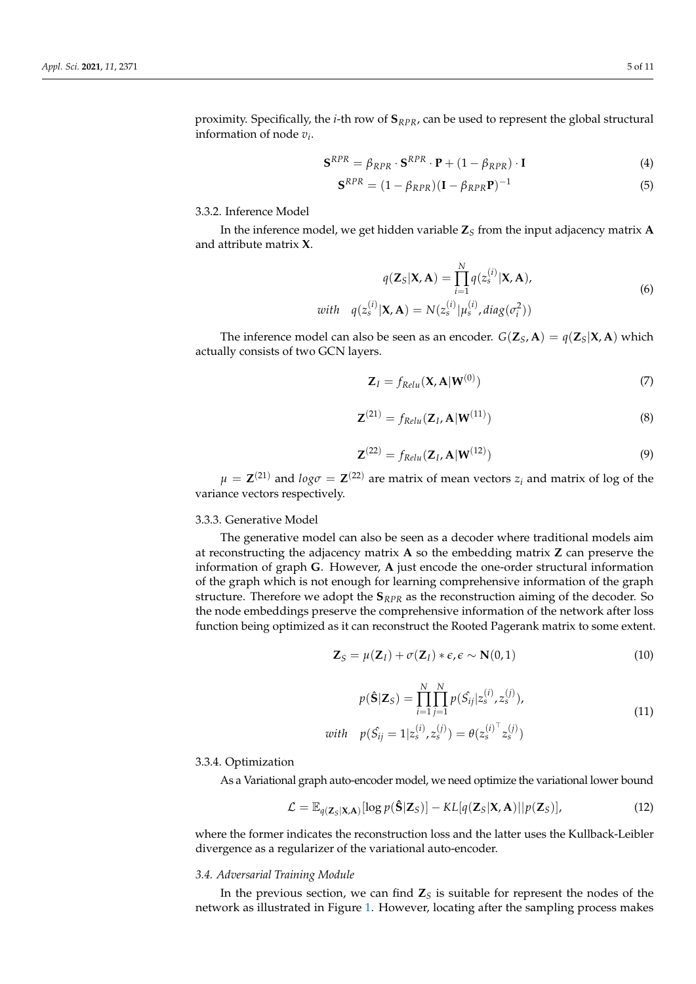proximity. Specifically, the *i*-th row of **S***RPR*, can be used to represent the global structural information of node *v<sup>i</sup>* .

<span id="page-4-0"></span>
$$
\mathbf{S}^{RPR} = \beta_{RPR} \cdot \mathbf{S}^{RPR} \cdot \mathbf{P} + (1 - \beta_{RPR}) \cdot \mathbf{I}
$$
(4)

<span id="page-4-1"></span>
$$
\mathbf{S}^{RPR} = (1 - \beta_{RPR})(\mathbf{I} - \beta_{RPR}\mathbf{P})^{-1}
$$
(5)

3.3.2. Inference Model

In the inference model, we get hidden variable **Z***<sup>S</sup>* from the input adjacency matrix **A** and attribute matrix **X**.

$$
q(\mathbf{Z}_S|\mathbf{X}, \mathbf{A}) = \prod_{i=1}^N q(z_s^{(i)}|\mathbf{X}, \mathbf{A}),
$$
  
with 
$$
q(z_s^{(i)}|\mathbf{X}, \mathbf{A}) = N(z_s^{(i)}|\mu_s^{(i)}, diag(\sigma_i^2))
$$
 (6)

The inference model can also be seen as an encoder.  $G(\mathbf{Z}_S, \mathbf{A}) = q(\mathbf{Z}_S|\mathbf{X}, \mathbf{A})$  which actually consists of two GCN layers.

<span id="page-4-2"></span>
$$
\mathbf{Z}_I = f_{Relu}(\mathbf{X}, \mathbf{A}|\mathbf{W}^{(0)})
$$
(7)

$$
\mathbf{Z}^{(21)} = f_{Relu}(\mathbf{Z}_I, \mathbf{A}|\mathbf{W}^{(11)})
$$
\n(8)

$$
\mathbf{Z}^{(22)} = f_{Relu}(\mathbf{Z}_I, \mathbf{A}|\mathbf{W}^{(12)})
$$
\n(9)

 $\mu = \mathbf{Z}^{(21)}$  and  $log\sigma = \mathbf{Z}^{(22)}$  are matrix of mean vectors  $z_i$  and matrix of log of the variance vectors respectively.

# 3.3.3. Generative Model

The generative model can also be seen as a decoder where traditional models aim at reconstructing the adjacency matrix **A** so the embedding matrix **Z** can preserve the information of graph **G**. However, **A** just encode the one-order structural information of the graph which is not enough for learning comprehensive information of the graph structure. Therefore we adopt the **S***RPR* as the reconstruction aiming of the decoder. So the node embeddings preserve the comprehensive information of the network after loss function being optimized as it can reconstruct the Rooted Pagerank matrix to some extent.

<span id="page-4-3"></span>
$$
\mathbf{Z}_S = \mu(\mathbf{Z}_I) + \sigma(\mathbf{Z}_I) * \epsilon, \epsilon \sim \mathbf{N}(0, 1)
$$
\n(10)

$$
p(\hat{\mathbf{S}}|\mathbf{Z}_{S}) = \prod_{i=1}^{N} \prod_{j=1}^{N} p(\hat{S}_{ij}|z_{s}^{(i)}, z_{s}^{(j)}),
$$
  
\nwith 
$$
p(\hat{S}_{ij} = 1|z_{s}^{(i)}, z_{s}^{(j)}) = \theta(z_{s}^{(i)^\top}z_{s}^{(j)})
$$
\n(11)

# 3.3.4. Optimization

As a Variational graph auto-encoder model, we need optimize the variational lower bound

<span id="page-4-4"></span>
$$
\mathcal{L} = \mathbb{E}_{q(\mathbf{Z}_S|\mathbf{X},\mathbf{A})}[\log p(\hat{\mathbf{S}}|\mathbf{Z}_S)] - KL[q(\mathbf{Z}_S|\mathbf{X},\mathbf{A})||p(\mathbf{Z}_S)],\tag{12}
$$

where the former indicates the reconstruction loss and the latter uses the Kullback-Leibler divergence as a regularizer of the variational auto-encoder.

# *3.4. Adversarial Training Module*

In the previous section, we can find  $\mathbb{Z}_S$  is suitable for represent the nodes of the network as illustrated in Figure [1.](#page-3-0) However, locating after the sampling process makes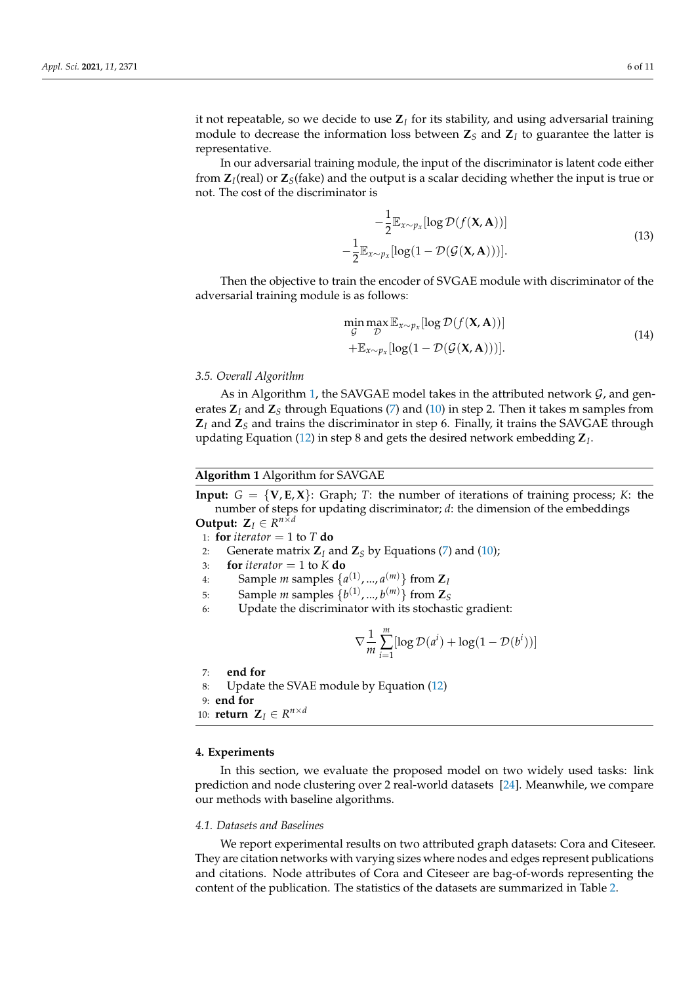it not repeatable, so we decide to use **Z***<sup>I</sup>* for its stability, and using adversarial training module to decrease the information loss between  $\mathbf{Z}_S$  and  $\mathbf{Z}_I$  to guarantee the latter is representative.

In our adversarial training module, the input of the discriminator is latent code either from **Z***<sup>I</sup>* (real) or **Z***S*(fake) and the output is a scalar deciding whether the input is true or not. The cost of the discriminator is

$$
-\frac{1}{2} \mathbb{E}_{x \sim p_x} [\log \mathcal{D}(f(\mathbf{X}, \mathbf{A}))]
$$
  

$$
\frac{1}{2} \mathbb{E}_{x \sim p_x} [\log(1 - \mathcal{D}(\mathcal{G}(\mathbf{X}, \mathbf{A})))].
$$
 (13)

Then the objective to train the encoder of SVGAE module with discriminator of the adversarial training module is as follows:

$$
\min_{\mathcal{G}} \max_{\mathcal{D}} \mathbb{E}_{x \sim p_x}[\log \mathcal{D}(f(\mathbf{X}, \mathbf{A}))]
$$
\n
$$
+ \mathbb{E}_{x \sim p_x}[\log(1 - \mathcal{D}(\mathcal{G}(\mathbf{X}, \mathbf{A})))].
$$
\n(14)

# *3.5. Overall Algorithm*

As in Algorithm [1,](#page-5-1) the SAVGAE model takes in the attributed network  $G$ , and generates  $\mathbb{Z}_I$  and  $\mathbb{Z}_S$  through Equations [\(7\)](#page-4-2) and [\(10\)](#page-4-3) in step 2. Then it takes m samples from **Z***<sup>I</sup>* and **Z***<sup>S</sup>* and trains the discriminator in step 6. Finally, it trains the SAVGAE through updating Equation [\(12\)](#page-4-4) in step 8 and gets the desired network embedding **Z***<sup>I</sup>* .

### <span id="page-5-1"></span>**Algorithm 1** Algorithm for SAVGAE

**Input:**  $G = \{V, E, X\}$ : Graph; *T*: the number of iterations of training process; *K*: the number of steps for updating discriminator; *d*: the dimension of the embeddings **Output:**  $\mathbf{Z}_I \in \mathbb{R}^{n \times d}$ 

1: **for** *iterator* = 1 to  $T$  **do** 

2: Generate matrix  $\mathbf{Z}_I$  and  $\mathbf{Z}_S$  by Equations [\(7\)](#page-4-2) and [\(10\)](#page-4-3);

−

- 3: **for** *iterator* = 1 to  $K$  **do**
- 4: Sample *m* samples  $\{a^{(1)}, ..., a^{(m)}\}$  from  $\mathbb{Z}_l$
- 5: Sample *m* samples  $\{b^{(1)},...,b^{(m)}\}$  from  $\mathbb{Z}_S$
- 6: Update the discriminator with its stochastic gradient:

$$
\nabla \frac{1}{m} \sum_{i=1}^{m} [\log \mathcal{D}(a^i) + \log(1 - \mathcal{D}(b^i))]
$$

7: **end for**

```
8: Update the SVAE module by Equation (12)
```
9: **end for**

```
10: return \mathbf{Z}_I \in R^{n \times d}
```
#### <span id="page-5-0"></span>**4. Experiments**

In this section, we evaluate the proposed model on two widely used tasks: link prediction and node clustering over 2 real-world datasets [\[24\]](#page-10-12). Meanwhile, we compare our methods with baseline algorithms.

#### *4.1. Datasets and Baselines*

We report experimental results on two attributed graph datasets: Cora and Citeseer. They are citation networks with varying sizes where nodes and edges represent publications and citations. Node attributes of Cora and Citeseer are bag-of-words representing the content of the publication. The statistics of the datasets are summarized in Table [2.](#page-6-0)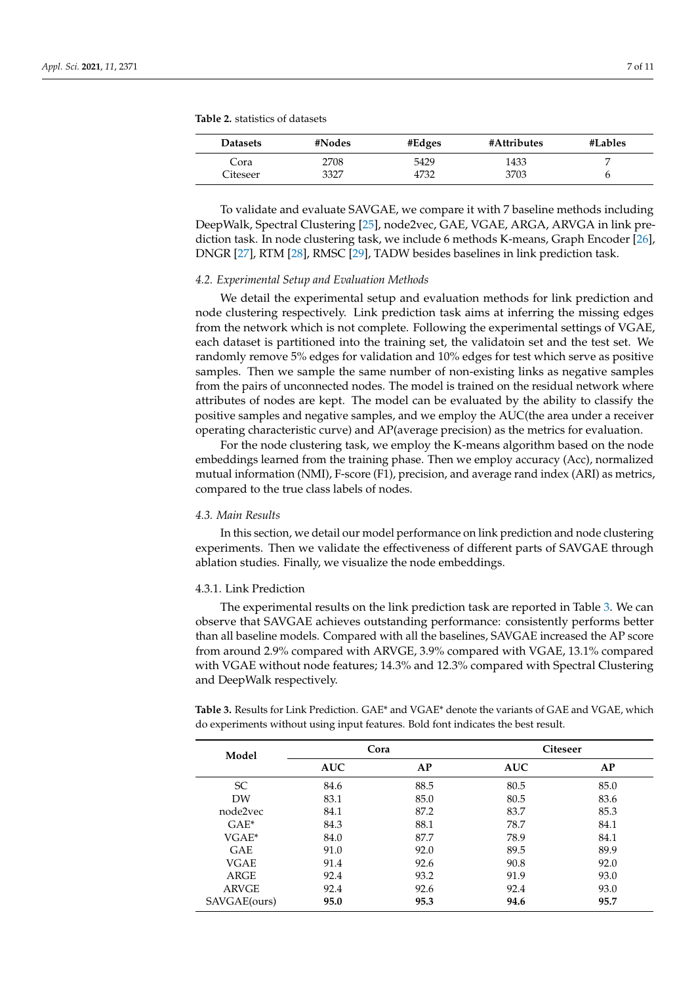<span id="page-6-0"></span>**Table 2.** statistics of datasets

| Datasets | #Nodes | #Edges | #Attributes | #Lables |
|----------|--------|--------|-------------|---------|
| Cora     | 2708   | 5429   | 1433        |         |
| Citeseer | 3327   | 4732   | 3703        |         |

To validate and evaluate SAVGAE, we compare it with 7 baseline methods including DeepWalk, Spectral Clustering [\[25\]](#page-10-13), node2vec, GAE, VGAE, ARGA, ARVGA in link prediction task. In node clustering task, we include 6 methods K-means, Graph Encoder [\[26\]](#page-10-14), DNGR [\[27\]](#page-10-15), RTM [\[28\]](#page-10-16), RMSC [\[29\]](#page-10-17), TADW besides baselines in link prediction task.

#### *4.2. Experimental Setup and Evaluation Methods*

We detail the experimental setup and evaluation methods for link prediction and node clustering respectively. Link prediction task aims at inferring the missing edges from the network which is not complete. Following the experimental settings of VGAE, each dataset is partitioned into the training set, the validatoin set and the test set. We randomly remove 5% edges for validation and 10% edges for test which serve as positive samples. Then we sample the same number of non-existing links as negative samples from the pairs of unconnected nodes. The model is trained on the residual network where attributes of nodes are kept. The model can be evaluated by the ability to classify the positive samples and negative samples, and we employ the AUC(the area under a receiver operating characteristic curve) and AP(average precision) as the metrics for evaluation.

For the node clustering task, we employ the K-means algorithm based on the node embeddings learned from the training phase. Then we employ accuracy (Acc), normalized mutual information (NMI), F-score (F1), precision, and average rand index (ARI) as metrics, compared to the true class labels of nodes.

#### *4.3. Main Results*

In this section, we detail our model performance on link prediction and node clustering experiments. Then we validate the effectiveness of different parts of SAVGAE through ablation studies. Finally, we visualize the node embeddings.

#### 4.3.1. Link Prediction

The experimental results on the link prediction task are reported in Table [3.](#page-6-1) We can observe that SAVGAE achieves outstanding performance: consistently performs better than all baseline models. Compared with all the baselines, SAVGAE increased the AP score from around 2.9% compared with ARVGE, 3.9% compared with VGAE, 13.1% compared with VGAE without node features; 14.3% and 12.3% compared with Spectral Clustering and DeepWalk respectively.

<span id="page-6-1"></span>**Table 3.** Results for Link Prediction. GAE\* and VGAE\* denote the variants of GAE and VGAE, which do experiments without using input features. Bold font indicates the best result.

| Model        | Cora       |      | Citeseer   |      |
|--------------|------------|------|------------|------|
|              | <b>AUC</b> | AP   | <b>AUC</b> | AP   |
| <b>SC</b>    | 84.6       | 88.5 | 80.5       | 85.0 |
| DW           | 83.1       | 85.0 | 80.5       | 83.6 |
| node2vec     | 84.1       | 87.2 | 83.7       | 85.3 |
| $GAE^*$      | 84.3       | 88.1 | 78.7       | 84.1 |
| $VGAE^*$     | 84.0       | 87.7 | 78.9       | 84.1 |
| <b>GAE</b>   | 91.0       | 92.0 | 89.5       | 89.9 |
| <b>VGAE</b>  | 91.4       | 92.6 | 90.8       | 92.0 |
| ARGE         | 92.4       | 93.2 | 91.9       | 93.0 |
| <b>ARVGE</b> | 92.4       | 92.6 | 92.4       | 93.0 |
| SAVGAE(ours) | 95.0       | 95.3 | 94.6       | 95.7 |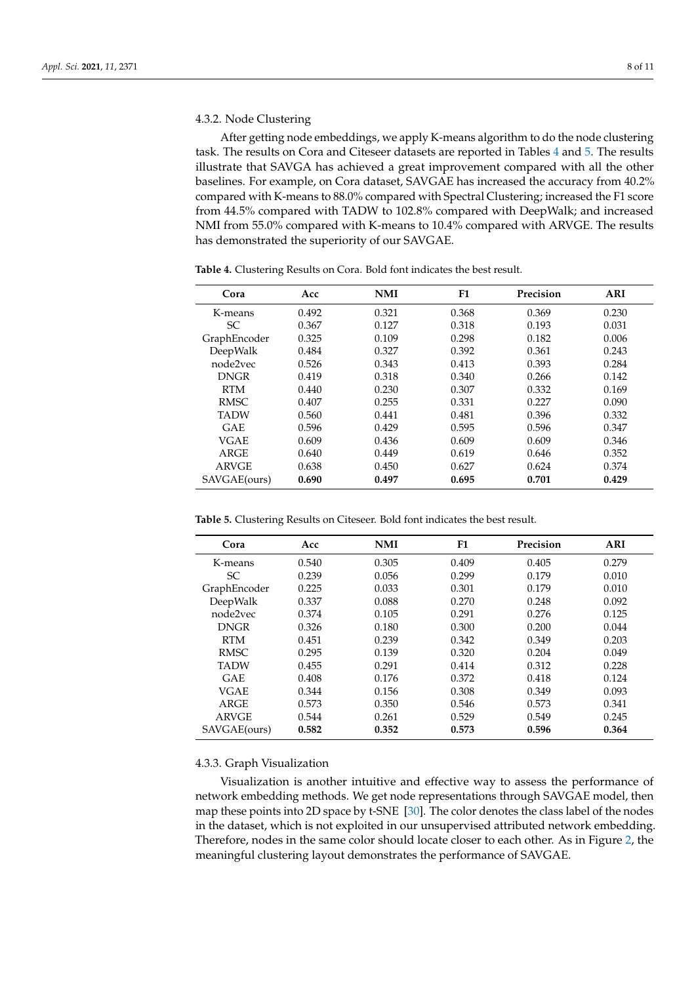# 4.3.2. Node Clustering

After getting node embeddings, we apply K-means algorithm to do the node clustering task. The results on Cora and Citeseer datasets are reported in Tables [4](#page-7-0) and [5.](#page-7-1) The results illustrate that SAVGA has achieved a great improvement compared with all the other baselines. For example, on Cora dataset, SAVGAE has increased the accuracy from 40.2% compared with K-means to 88.0% compared with Spectral Clustering; increased the F1 score from 44.5% compared with TADW to 102.8% compared with DeepWalk; and increased NMI from 55.0% compared with K-means to 10.4% compared with ARVGE. The results has demonstrated the superiority of our SAVGAE.

| Cora         | Acc   | <b>NMI</b> | F1    | Precision | <b>ARI</b> |
|--------------|-------|------------|-------|-----------|------------|
| K-means      | 0.492 | 0.321      | 0.368 | 0.369     | 0.230      |
| SС           | 0.367 | 0.127      | 0.318 | 0.193     | 0.031      |
| GraphEncoder | 0.325 | 0.109      | 0.298 | 0.182     | 0.006      |
| DeepWalk     | 0.484 | 0.327      | 0.392 | 0.361     | 0.243      |
| node2vec     | 0.526 | 0.343      | 0.413 | 0.393     | 0.284      |
| <b>DNGR</b>  | 0.419 | 0.318      | 0.340 | 0.266     | 0.142      |
| <b>RTM</b>   | 0.440 | 0.230      | 0.307 | 0.332     | 0.169      |
| <b>RMSC</b>  | 0.407 | 0.255      | 0.331 | 0.227     | 0.090      |
| <b>TADW</b>  | 0.560 | 0.441      | 0.481 | 0.396     | 0.332      |
| <b>GAE</b>   | 0.596 | 0.429      | 0.595 | 0.596     | 0.347      |
| <b>VGAE</b>  | 0.609 | 0.436      | 0.609 | 0.609     | 0.346      |
| ARGE         | 0.640 | 0.449      | 0.619 | 0.646     | 0.352      |
| <b>ARVGE</b> | 0.638 | 0.450      | 0.627 | 0.624     | 0.374      |
| SAVGAE(ours) | 0.690 | 0.497      | 0.695 | 0.701     | 0.429      |

<span id="page-7-0"></span>**Table 4.** Clustering Results on Cora. Bold font indicates the best result.

<span id="page-7-1"></span>**Table 5.** Clustering Results on Citeseer. Bold font indicates the best result.

| Cora         | Acc   | <b>NMI</b> | F <sub>1</sub> | Precision | ARI   |
|--------------|-------|------------|----------------|-----------|-------|
| K-means      | 0.540 | 0.305      | 0.409          | 0.405     | 0.279 |
| SC.          | 0.239 | 0.056      | 0.299          | 0.179     | 0.010 |
| GraphEncoder | 0.225 | 0.033      | 0.301          | 0.179     | 0.010 |
| DeepWalk     | 0.337 | 0.088      | 0.270          | 0.248     | 0.092 |
| node2vec     | 0.374 | 0.105      | 0.291          | 0.276     | 0.125 |
| <b>DNGR</b>  | 0.326 | 0.180      | 0.300          | 0.200     | 0.044 |
| <b>RTM</b>   | 0.451 | 0.239      | 0.342          | 0.349     | 0.203 |
| <b>RMSC</b>  | 0.295 | 0.139      | 0.320          | 0.204     | 0.049 |
| <b>TADW</b>  | 0.455 | 0.291      | 0.414          | 0.312     | 0.228 |
| <b>GAE</b>   | 0.408 | 0.176      | 0.372          | 0.418     | 0.124 |
| VGAE         | 0.344 | 0.156      | 0.308          | 0.349     | 0.093 |
| ARGE         | 0.573 | 0.350      | 0.546          | 0.573     | 0.341 |
| <b>ARVGE</b> | 0.544 | 0.261      | 0.529          | 0.549     | 0.245 |
| SAVGAE(ours) | 0.582 | 0.352      | 0.573          | 0.596     | 0.364 |

# 4.3.3. Graph Visualization

Visualization is another intuitive and effective way to assess the performance of network embedding methods. We get node representations through SAVGAE model, then map these points into 2D space by t-SNE [\[30\]](#page-10-18). The color denotes the class label of the nodes in the dataset, which is not exploited in our unsupervised attributed network embedding. Therefore, nodes in the same color should locate closer to each other. As in Figure [2,](#page-8-1) the meaningful clustering layout demonstrates the performance of SAVGAE.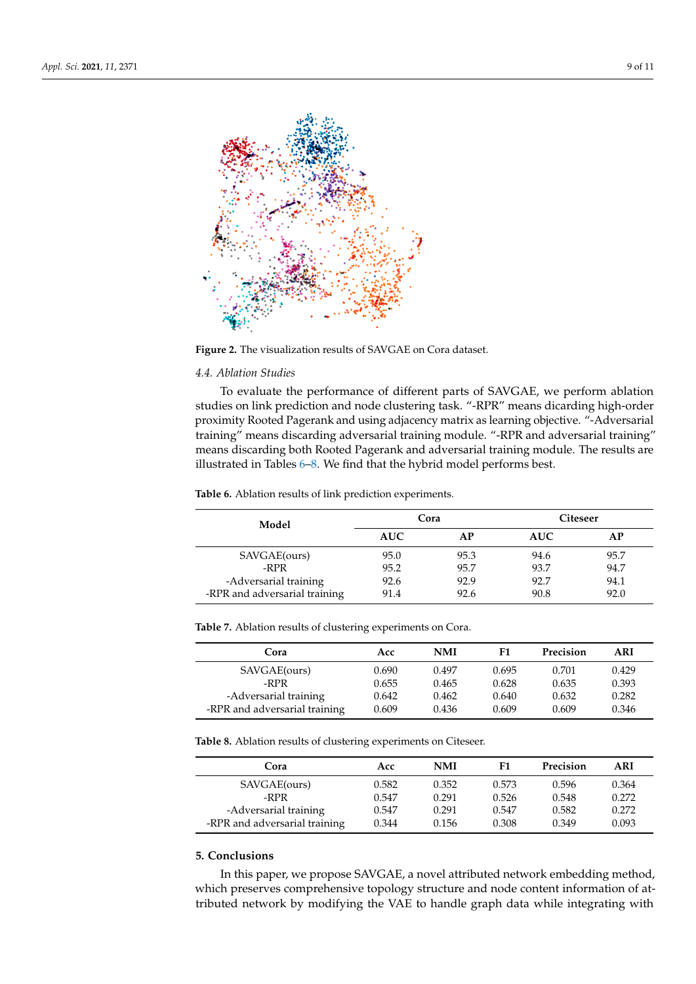<span id="page-8-1"></span>

**Figure 2.** The visualization results of SAVGAE on Cora dataset.

#### *4.4. Ablation Studies*

To evaluate the performance of different parts of SAVGAE, we perform ablation studies on link prediction and node clustering task. "-RPR" means dicarding high-order proximity Rooted Pagerank and using adjacency matrix as learning objective. "-Adversarial training" means discarding adversarial training module. "-RPR and adversarial training" means discarding both Rooted Pagerank and adversarial training module. The results are illustrated in Tables [6](#page-8-2)[–8.](#page-8-3) We find that the hybrid model performs best.

<span id="page-8-2"></span>**Table 6.** Ablation results of link prediction experiments.

| Model                         | Cora       |      | Citeseer   |      |  |
|-------------------------------|------------|------|------------|------|--|
|                               | <b>AUC</b> | АP   | <b>AUC</b> | AP   |  |
| SAVGAE(ours)                  | 95.0       | 95.3 | 94.6       | 95.7 |  |
| -RPR                          | 95.2       | 95.7 | 93.7       | 94.7 |  |
| -Adversarial training         | 92.6       | 92.9 | 92.7       | 94.1 |  |
| -RPR and adversarial training | 91.4       | 92.6 | 90.8       | 92.0 |  |

**Table 7.** Ablation results of clustering experiments on Cora.

| Cora                          | Acc   | NMI   | F1    | Precision | ARI   |
|-------------------------------|-------|-------|-------|-----------|-------|
| SAVGAE(ours)                  | 0.690 | 0.497 | 0.695 | 0.701     | 0.429 |
| -RPR                          | 0.655 | 0.465 | 0.628 | 0.635     | 0.393 |
| -Adversarial training         | 0.642 | 0.462 | 0.640 | 0.632     | 0.282 |
| -RPR and adversarial training | 0.609 | 0.436 | 0.609 | 0.609     | 0.346 |

<span id="page-8-3"></span>**Table 8.** Ablation results of clustering experiments on Citeseer.

| Cora                          | Acc   | <b>NMI</b> | F1    | Precision | ARI   |
|-------------------------------|-------|------------|-------|-----------|-------|
| SAVGAE(ours)                  | 0.582 | 0.352      | 0.573 | 0.596     | 0.364 |
| -RPR                          | 0.547 | 0.291      | 0.526 | 0.548     | 0.272 |
| -Adversarial training         | 0.547 | 0.291      | 0.547 | 0.582     | 0.272 |
| -RPR and adversarial training | 0.344 | 0.156      | 0.308 | 0.349     | 0.093 |

# <span id="page-8-0"></span>**5. Conclusions**

In this paper, we propose SAVGAE, a novel attributed network embedding method, which preserves comprehensive topology structure and node content information of attributed network by modifying the VAE to handle graph data while integrating with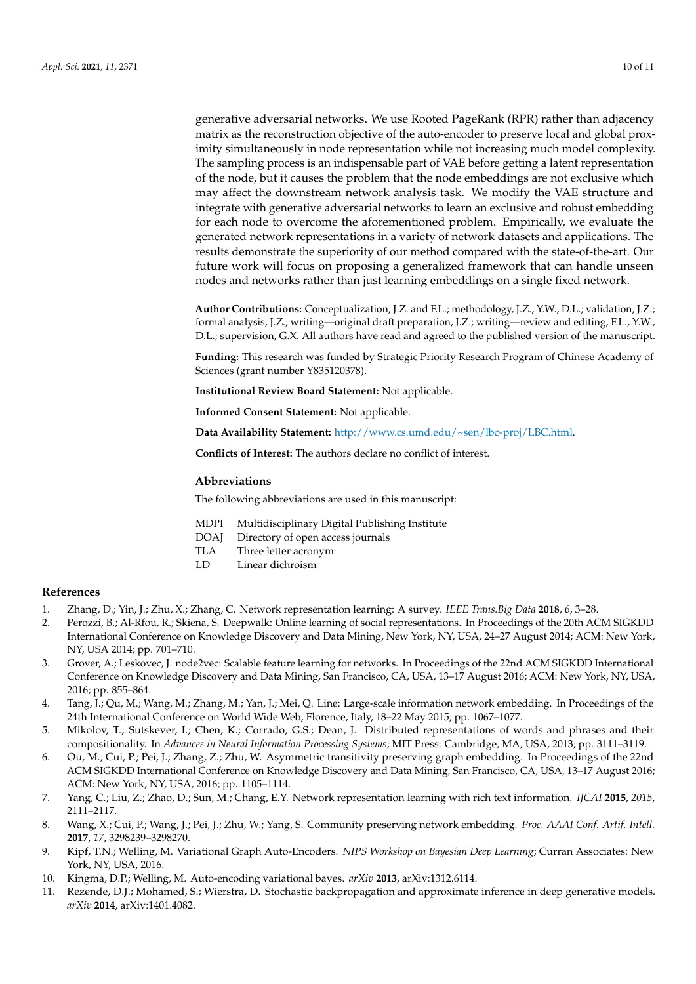generative adversarial networks. We use Rooted PageRank (RPR) rather than adjacency matrix as the reconstruction objective of the auto-encoder to preserve local and global proximity simultaneously in node representation while not increasing much model complexity. The sampling process is an indispensable part of VAE before getting a latent representation of the node, but it causes the problem that the node embeddings are not exclusive which may affect the downstream network analysis task. We modify the VAE structure and integrate with generative adversarial networks to learn an exclusive and robust embedding for each node to overcome the aforementioned problem. Empirically, we evaluate the generated network representations in a variety of network datasets and applications. The results demonstrate the superiority of our method compared with the state-of-the-art. Our future work will focus on proposing a generalized framework that can handle unseen nodes and networks rather than just learning embeddings on a single fixed network.

**Author Contributions:** Conceptualization, J.Z. and F.L.; methodology, J.Z., Y.W., D.L.; validation, J.Z.; formal analysis, J.Z.; writing—original draft preparation, J.Z.; writing—review and editing, F.L., Y.W., D.L.; supervision, G.X. All authors have read and agreed to the published version of the manuscript.

**Funding:** This research was funded by Strategic Priority Research Program of Chinese Academy of Sciences (grant number Y835120378).

**Institutional Review Board Statement:** Not applicable.

**Informed Consent Statement:** Not applicable.

**Data Availability Statement:** [http://www.cs.umd.edu/~sen/lbc-proj/LBC.html.](http://www.cs.umd.edu/~sen/lbc-proj/LBC.html)

**Conflicts of Interest:** The authors declare no conflict of interest.

# **Abbreviations**

The following abbreviations are used in this manuscript:

- MDPI Multidisciplinary Digital Publishing Institute
- DOAJ Directory of open access journals
- TLA Three letter acronym
- LD Linear dichroism

#### **References**

- <span id="page-9-0"></span>1. Zhang, D.; Yin, J.; Zhu, X.; Zhang, C. Network representation learning: A survey. *IEEE Trans.Big Data* **2018**, *6*, 3–28.
- <span id="page-9-1"></span>2. Perozzi, B.; Al-Rfou, R.; Skiena, S. Deepwalk: Online learning of social representations. In Proceedings of the 20th ACM SIGKDD International Conference on Knowledge Discovery and Data Mining, New York, NY, USA, 24–27 August 2014; ACM: New York, NY, USA 2014; pp. 701–710.
- <span id="page-9-2"></span>3. Grover, A.; Leskovec, J. node2vec: Scalable feature learning for networks. In Proceedings of the 22nd ACM SIGKDD International Conference on Knowledge Discovery and Data Mining, San Francisco, CA, USA, 13–17 August 2016; ACM: New York, NY, USA, 2016; pp. 855–864.
- <span id="page-9-3"></span>4. Tang, J.; Qu, M.; Wang, M.; Zhang, M.; Yan, J.; Mei, Q. Line: Large-scale information network embedding. In Proceedings of the 24th International Conference on World Wide Web, Florence, Italy, 18–22 May 2015; pp. 1067–1077.
- <span id="page-9-4"></span>5. Mikolov, T.; Sutskever, I.; Chen, K.; Corrado, G.S.; Dean, J. Distributed representations of words and phrases and their compositionality. In *Advances in Neural Information Processing Systems*; MIT Press: Cambridge, MA, USA, 2013; pp. 3111–3119.
- <span id="page-9-5"></span>6. Ou, M.; Cui, P.; Pei, J.; Zhang, Z.; Zhu, W. Asymmetric transitivity preserving graph embedding. In Proceedings of the 22nd ACM SIGKDD International Conference on Knowledge Discovery and Data Mining, San Francisco, CA, USA, 13–17 August 2016; ACM: New York, NY, USA, 2016; pp. 1105–1114.
- <span id="page-9-6"></span>7. Yang, C.; Liu, Z.; Zhao, D.; Sun, M.; Chang, E.Y. Network representation learning with rich text information. *IJCAI* **2015**, *2015*, 2111–2117.
- <span id="page-9-7"></span>8. Wang, X.; Cui, P.; Wang, J.; Pei, J.; Zhu, W.; Yang, S. Community preserving network embedding. *Proc. AAAI Conf. Artif. Intell.* **2017**, *17*, 3298239–3298270.
- <span id="page-9-8"></span>9. Kipf, T.N.; Welling, M. Variational Graph Auto-Encoders. *NIPS Workshop on Bayesian Deep Learning*; Curran Associates: New York, NY, USA, 2016.
- <span id="page-9-9"></span>10. Kingma, D.P.; Welling, M. Auto-encoding variational bayes. *arXiv* **2013**, arXiv:1312.6114.
- <span id="page-9-10"></span>11. Rezende, D.J.; Mohamed, S.; Wierstra, D. Stochastic backpropagation and approximate inference in deep generative models. *arXiv* **2014**, arXiv:1401.4082.